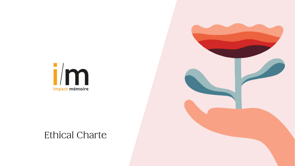

## **Ethical Charte**

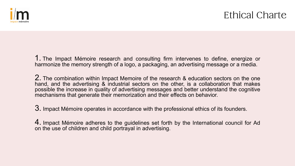

1. The Impact Mémoire research and consulting firm intervenes to define, energize or harmonize the memory strength of a logo, a packaging, an advertising message or a media.

2. The combination within Impact Memoire of the research & education sectors on the one hand, and the advertising & industrial sectors on the other, is a collaboration that makes possible the increase in quality of advertising messages and better understand the cognitive mechanisms that generate their memorization and their effects on behavior.

3. Impact Mémoire operates in accordance with the professional ethics of its founders.

4. Impact Mémoire adheres to the guidelines set forth by the International council for Ad on the use of children and child portrayal in advertising.

## **Ethical Charte**

- 
- 
- 
-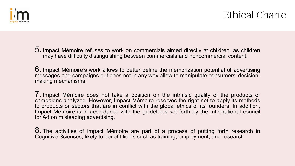

5. Impact Mémoire refuses to work on commercials aimed directly at children, as children may have difficulty distinguishing between commercials and noncommercial content.

6. Impact Mémoire's work allows to better define the memorization potential of advertising messages and campaigns but does not in any way allow to manipulate consumers' decisionmaking mechanisms.

7. Impact Mémoire does not take <sup>a</sup> position on the intrinsic quality of the products or campaigns analyzed. However, Impact Mémoire reserves the right not to apply its methods to products or sectors that are in conflict with the global ethics of its founders. In addition, Impact Mémoire is in accordance with the guidelines set forth by the International council for Ad on misleading advertising.

8. The activities of Impact Mémoire are part of a process of putting forth research in Cognitive Sciences, likely to benefit fields such as training, employment, and research.

## **Ethical Charte**